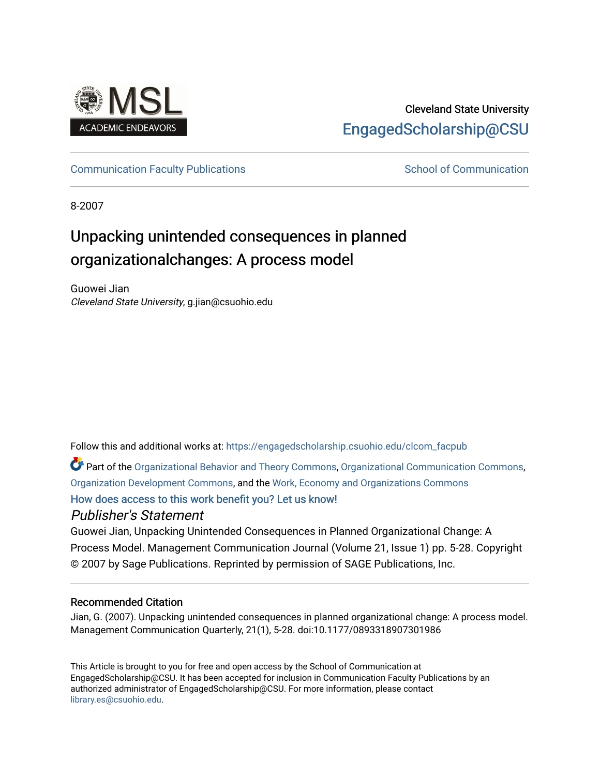

## Cleveland State University [EngagedScholarship@CSU](https://engagedscholarship.csuohio.edu/)

## [Communication Faculty Publications](https://engagedscholarship.csuohio.edu/clcom_facpub) [School of Communication](https://engagedscholarship.csuohio.edu/clcom) School of Communication

8-2007

# Unpacking unintended consequences in planned organizationalchanges: A process model

Guowei Jian Cleveland State University, g.jian@csuohio.edu

Follow this and additional works at: [https://engagedscholarship.csuohio.edu/clcom\\_facpub](https://engagedscholarship.csuohio.edu/clcom_facpub?utm_source=engagedscholarship.csuohio.edu%2Fclcom_facpub%2F15&utm_medium=PDF&utm_campaign=PDFCoverPages) 

Part of the [Organizational Behavior and Theory Commons,](http://network.bepress.com/hgg/discipline/639?utm_source=engagedscholarship.csuohio.edu%2Fclcom_facpub%2F15&utm_medium=PDF&utm_campaign=PDFCoverPages) [Organizational Communication Commons](http://network.bepress.com/hgg/discipline/335?utm_source=engagedscholarship.csuohio.edu%2Fclcom_facpub%2F15&utm_medium=PDF&utm_campaign=PDFCoverPages), [Organization Development Commons,](http://network.bepress.com/hgg/discipline/1242?utm_source=engagedscholarship.csuohio.edu%2Fclcom_facpub%2F15&utm_medium=PDF&utm_campaign=PDFCoverPages) and the [Work, Economy and Organizations Commons](http://network.bepress.com/hgg/discipline/433?utm_source=engagedscholarship.csuohio.edu%2Fclcom_facpub%2F15&utm_medium=PDF&utm_campaign=PDFCoverPages)

[How does access to this work benefit you? Let us know!](http://library.csuohio.edu/engaged/)

## Publisher's Statement

Guowei Jian, Unpacking Unintended Consequences in Planned Organizational Change: A Process Model. Management Communication Journal (Volume 21, Issue 1) pp. 5-28. Copyright © 2007 by Sage Publications. Reprinted by permission of SAGE Publications, Inc.

## Recommended Citation

Jian, G. (2007). Unpacking unintended consequences in planned organizational change: A process model. Management Communication Quarterly, 21(1), 5-28. doi:10.1177/0893318907301986

This Article is brought to you for free and open access by the School of Communication at EngagedScholarship@CSU. It has been accepted for inclusion in Communication Faculty Publications by an authorized administrator of EngagedScholarship@CSU. For more information, please contact [library.es@csuohio.edu.](mailto:library.es@csuohio.edu)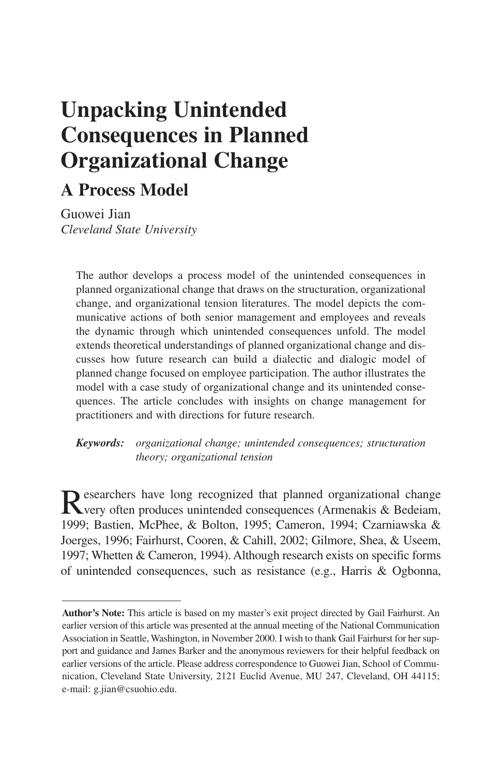# **Unpacking Unintended Consequences in Planned Organizational Change**

## **A Process Model**

Guowei Jian *Cleveland State University*

> The author develops a process model of the unintended consequences in planned organizational change that draws on the structuration, organizational change, and organizational tension literatures. The model depicts the communicative actions of both senior management and employees and reveals the dynamic through which unintended consequences unfold. The model extends theoretical understandings of planned organizational change and discusses how future research can build a dialectic and dialogic model of planned change focused on employee participation. The author illustrates the model with a case study of organizational change and its unintended consequences. The article concludes with insights on change management for practitioners and with directions for future research.

> *Keywords: organizational change; unintended consequences; structuration theory; organizational tension*

Researchers have long recognized that planned organizational change<br>wery often produces unintended consequences (Armenakis & Bedeiam, 1999; Bastien, McPhee, & Bolton, 1995; Cameron, 1994; Czarniawska & Joerges, 1996; Fairhurst, Cooren, & Cahill, 2002; Gilmore, Shea, & Useem, 1997; Whetten & Cameron, 1994). Although research exists on specific forms of unintended consequences, such as resistance (e.g., Harris & Ogbonna,

**Author's Note:** This article is based on my master's exit project directed by Gail Fairhurst. An earlier version of this article was presented at the annual meeting of the National Communication Association in Seattle, Washington, in November 2000. I wish to thank Gail Fairhurst for her support and guidance and James Barker and the anonymous reviewers for their helpful feedback on earlier versions of the article. Please address correspondence to Guowei Jian, School of Communication, Cleveland State University, 2121 Euclid Avenue, MU 247, Cleveland, OH 44115; e-mail: g.jian@csuohio.edu.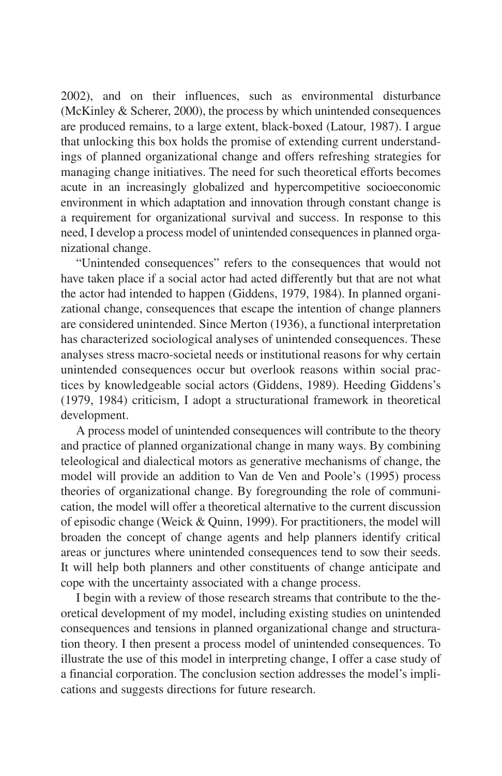2002), and on their influences, such as environmental disturbance (McKinley & Scherer, 2000), the process by which unintended consequences are produced remains, to a large extent, black-boxed (Latour, 1987). I argue that unlocking this box holds the promise of extending current understandings of planned organizational change and offers refreshing strategies for managing change initiatives. The need for such theoretical efforts becomes acute in an increasingly globalized and hypercompetitive socioeconomic environment in which adaptation and innovation through constant change is a requirement for organizational survival and success. In response to this need, I develop a process model of unintended consequences in planned organizational change.

"Unintended consequences" refers to the consequences that would not have taken place if a social actor had acted differently but that are not what the actor had intended to happen (Giddens, 1979, 1984). In planned organizational change, consequences that escape the intention of change planners are considered unintended. Since Merton (1936), a functional interpretation has characterized sociological analyses of unintended consequences. These analyses stress macro-societal needs or institutional reasons for why certain unintended consequences occur but overlook reasons within social practices by knowledgeable social actors (Giddens, 1989). Heeding Giddens's (1979, 1984) criticism, I adopt a structurational framework in theoretical development.

A process model of unintended consequences will contribute to the theory and practice of planned organizational change in many ways. By combining teleological and dialectical motors as generative mechanisms of change, the model will provide an addition to Van de Ven and Poole's (1995) process theories of organizational change. By foregrounding the role of communication, the model will offer a theoretical alternative to the current discussion of episodic change (Weick & Quinn, 1999). For practitioners, the model will broaden the concept of change agents and help planners identify critical areas or junctures where unintended consequences tend to sow their seeds. It will help both planners and other constituents of change anticipate and cope with the uncertainty associated with a change process.

I begin with a review of those research streams that contribute to the theoretical development of my model, including existing studies on unintended consequences and tensions in planned organizational change and structuration theory. I then present a process model of unintended consequences. To illustrate the use of this model in interpreting change, I offer a case study of a financial corporation. The conclusion section addresses the model's implications and suggests directions for future research.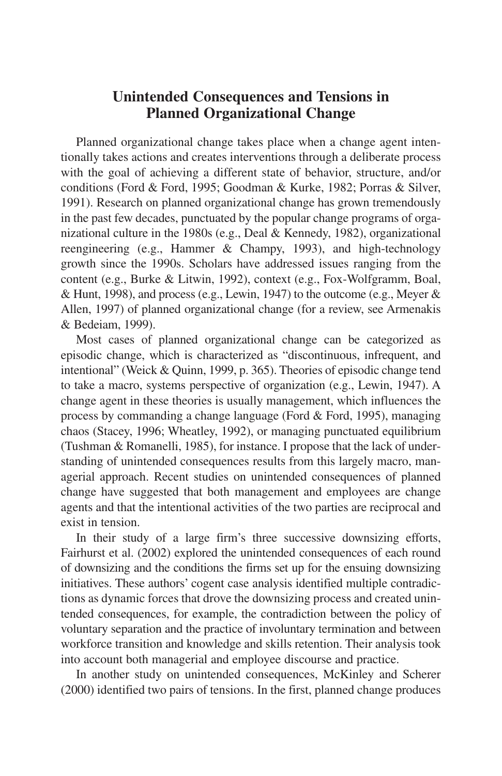## **Unintended Consequences and Tensions in Planned Organizational Change**

Planned organizational change takes place when a change agent intentionally takes actions and creates interventions through a deliberate process with the goal of achieving a different state of behavior, structure, and/or conditions (Ford & Ford, 1995; Goodman & Kurke, 1982; Porras & Silver, 1991). Research on planned organizational change has grown tremendously in the past few decades, punctuated by the popular change programs of organizational culture in the 1980s (e.g., Deal & Kennedy, 1982), organizational reengineering (e.g., Hammer & Champy, 1993), and high-technology growth since the 1990s. Scholars have addressed issues ranging from the content (e.g., Burke & Litwin, 1992), context (e.g., Fox-Wolfgramm, Boal, & Hunt, 1998), and process (e.g., Lewin, 1947) to the outcome (e.g., Meyer & Allen, 1997) of planned organizational change (for a review, see Armenakis & Bedeiam, 1999).

Most cases of planned organizational change can be categorized as episodic change, which is characterized as "discontinuous, infrequent, and intentional" (Weick & Quinn, 1999, p. 365). Theories of episodic change tend to take a macro, systems perspective of organization (e.g., Lewin, 1947). A change agent in these theories is usually management, which influences the process by commanding a change language (Ford & Ford, 1995), managing chaos (Stacey, 1996; Wheatley, 1992), or managing punctuated equilibrium (Tushman & Romanelli, 1985), for instance. I propose that the lack of understanding of unintended consequences results from this largely macro, managerial approach. Recent studies on unintended consequences of planned change have suggested that both management and employees are change agents and that the intentional activities of the two parties are reciprocal and exist in tension.

In their study of a large firm's three successive downsizing efforts, Fairhurst et al. (2002) explored the unintended consequences of each round of downsizing and the conditions the firms set up for the ensuing downsizing initiatives. These authors' cogent case analysis identified multiple contradictions as dynamic forces that drove the downsizing process and created unintended consequences, for example, the contradiction between the policy of voluntary separation and the practice of involuntary termination and between workforce transition and knowledge and skills retention. Their analysis took into account both managerial and employee discourse and practice.

In another study on unintended consequences, McKinley and Scherer (2000) identified two pairs of tensions. In the first, planned change produces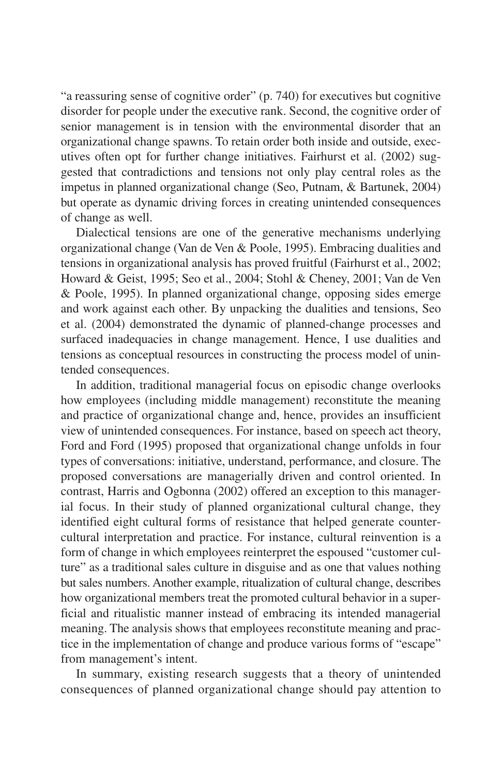"a reassuring sense of cognitive order" (p. 740) for executives but cognitive disorder for people under the executive rank. Second, the cognitive order of senior management is in tension with the environmental disorder that an organizational change spawns. To retain order both inside and outside, executives often opt for further change initiatives. Fairhurst et al. (2002) suggested that contradictions and tensions not only play central roles as the impetus in planned organizational change (Seo, Putnam, & Bartunek, 2004) but operate as dynamic driving forces in creating unintended consequences of change as well.

Dialectical tensions are one of the generative mechanisms underlying organizational change (Van de Ven & Poole, 1995). Embracing dualities and tensions in organizational analysis has proved fruitful (Fairhurst et al., 2002; Howard & Geist, 1995; Seo et al., 2004; Stohl & Cheney, 2001; Van de Ven & Poole, 1995). In planned organizational change, opposing sides emerge and work against each other. By unpacking the dualities and tensions, Seo et al. (2004) demonstrated the dynamic of planned-change processes and surfaced inadequacies in change management. Hence, I use dualities and tensions as conceptual resources in constructing the process model of unintended consequences.

In addition, traditional managerial focus on episodic change overlooks how employees (including middle management) reconstitute the meaning and practice of organizational change and, hence, provides an insufficient view of unintended consequences. For instance, based on speech act theory, Ford and Ford (1995) proposed that organizational change unfolds in four types of conversations: initiative, understand, performance, and closure. The proposed conversations are managerially driven and control oriented. In contrast, Harris and Ogbonna (2002) offered an exception to this managerial focus. In their study of planned organizational cultural change, they identified eight cultural forms of resistance that helped generate countercultural interpretation and practice. For instance, cultural reinvention is a form of change in which employees reinterpret the espoused "customer culture" as a traditional sales culture in disguise and as one that values nothing but sales numbers. Another example, ritualization of cultural change, describes how organizational members treat the promoted cultural behavior in a superficial and ritualistic manner instead of embracing its intended managerial meaning. The analysis shows that employees reconstitute meaning and practice in the implementation of change and produce various forms of "escape" from management's intent.

In summary, existing research suggests that a theory of unintended consequences of planned organizational change should pay attention to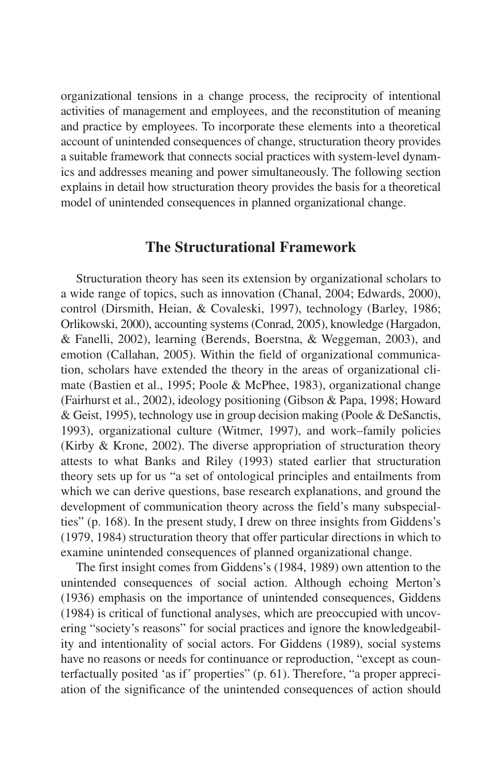organizational tensions in a change process, the reciprocity of intentional activities of management and employees, and the reconstitution of meaning and practice by employees. To incorporate these elements into a theoretical account of unintended consequences of change, structuration theory provides a suitable framework that connects social practices with system-level dynamics and addresses meaning and power simultaneously. The following section explains in detail how structuration theory provides the basis for a theoretical model of unintended consequences in planned organizational change.

#### **The Structurational Framework**

Structuration theory has seen its extension by organizational scholars to a wide range of topics, such as innovation (Chanal, 2004; Edwards, 2000), control (Dirsmith, Heian, & Covaleski, 1997), technology (Barley, 1986; Orlikowski, 2000), accounting systems (Conrad, 2005), knowledge (Hargadon, & Fanelli, 2002), learning (Berends, Boerstna, & Weggeman, 2003), and emotion (Callahan, 2005). Within the field of organizational communication, scholars have extended the theory in the areas of organizational climate (Bastien et al., 1995; Poole & McPhee, 1983), organizational change (Fairhurst et al., 2002), ideology positioning (Gibson & Papa, 1998; Howard & Geist, 1995), technology use in group decision making (Poole & DeSanctis, 1993), organizational culture (Witmer, 1997), and work–family policies (Kirby & Krone, 2002). The diverse appropriation of structuration theory attests to what Banks and Riley (1993) stated earlier that structuration theory sets up for us "a set of ontological principles and entailments from which we can derive questions, base research explanations, and ground the development of communication theory across the field's many subspecialties" (p. 168). In the present study, I drew on three insights from Giddens's (1979, 1984) structuration theory that offer particular directions in which to examine unintended consequences of planned organizational change.

The first insight comes from Giddens's (1984, 1989) own attention to the unintended consequences of social action. Although echoing Merton's (1936) emphasis on the importance of unintended consequences, Giddens (1984) is critical of functional analyses, which are preoccupied with uncovering "society's reasons" for social practices and ignore the knowledgeability and intentionality of social actors. For Giddens (1989), social systems have no reasons or needs for continuance or reproduction, "except as counterfactually posited 'as if' properties" (p. 61). Therefore, "a proper appreciation of the significance of the unintended consequences of action should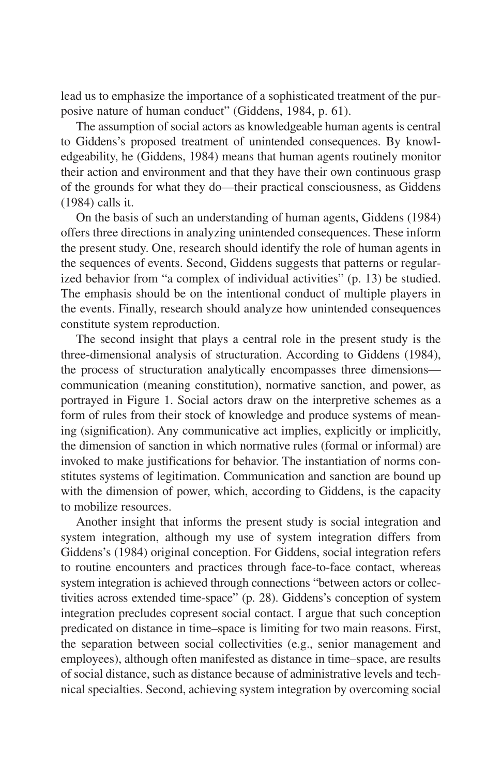lead us to emphasize the importance of a sophisticated treatment of the purposive nature of human conduct" (Giddens, 1984, p. 61).

The assumption of social actors as knowledgeable human agents is central to Giddens's proposed treatment of unintended consequences. By knowledgeability, he (Giddens, 1984) means that human agents routinely monitor their action and environment and that they have their own continuous grasp of the grounds for what they do—their practical consciousness, as Giddens (1984) calls it.

On the basis of such an understanding of human agents, Giddens (1984) offers three directions in analyzing unintended consequences. These inform the present study. One, research should identify the role of human agents in the sequences of events. Second, Giddens suggests that patterns or regularized behavior from "a complex of individual activities" (p. 13) be studied. The emphasis should be on the intentional conduct of multiple players in the events. Finally, research should analyze how unintended consequences constitute system reproduction.

The second insight that plays a central role in the present study is the three-dimensional analysis of structuration. According to Giddens (1984), the process of structuration analytically encompasses three dimensions communication (meaning constitution), normative sanction, and power, as portrayed in Figure 1. Social actors draw on the interpretive schemes as a form of rules from their stock of knowledge and produce systems of meaning (signification). Any communicative act implies, explicitly or implicitly, the dimension of sanction in which normative rules (formal or informal) are invoked to make justifications for behavior. The instantiation of norms constitutes systems of legitimation. Communication and sanction are bound up with the dimension of power, which, according to Giddens, is the capacity to mobilize resources.

Another insight that informs the present study is social integration and system integration, although my use of system integration differs from Giddens's (1984) original conception. For Giddens, social integration refers to routine encounters and practices through face-to-face contact, whereas system integration is achieved through connections "between actors or collectivities across extended time-space" (p. 28). Giddens's conception of system integration precludes copresent social contact. I argue that such conception predicated on distance in time–space is limiting for two main reasons. First, the separation between social collectivities (e.g., senior management and employees), although often manifested as distance in time–space, are results of social distance, such as distance because of administrative levels and technical specialties. Second, achieving system integration by overcoming social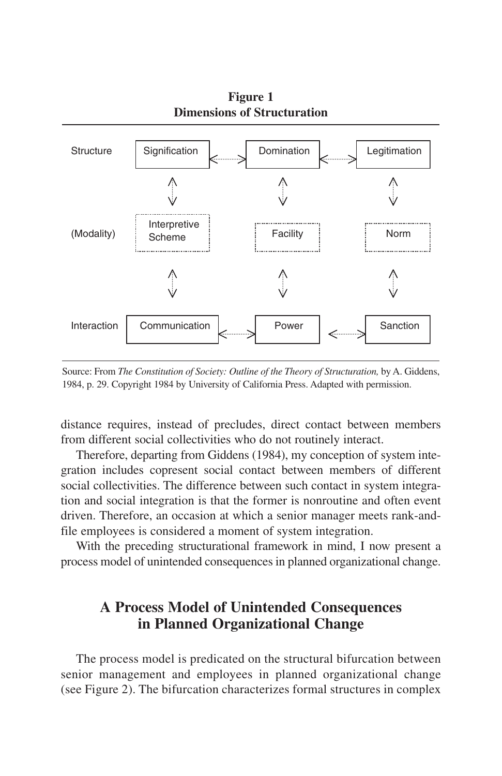

**Figure 1 Dimensions of Structuration**

Source: From *The Constitution of Society: Outline of the Theory of Structuration,* by A. Giddens, 1984, p. 29. Copyright 1984 by University of California Press. Adapted with permission.

distance requires, instead of precludes, direct contact between members from different social collectivities who do not routinely interact.

Therefore, departing from Giddens (1984), my conception of system integration includes copresent social contact between members of different social collectivities. The difference between such contact in system integration and social integration is that the former is nonroutine and often event driven. Therefore, an occasion at which a senior manager meets rank-andfile employees is considered a moment of system integration.

With the preceding structurational framework in mind, I now present a process model of unintended consequences in planned organizational change.

## **A Process Model of Unintended Consequences in Planned Organizational Change**

The process model is predicated on the structural bifurcation between senior management and employees in planned organizational change (see Figure 2). The bifurcation characterizes formal structures in complex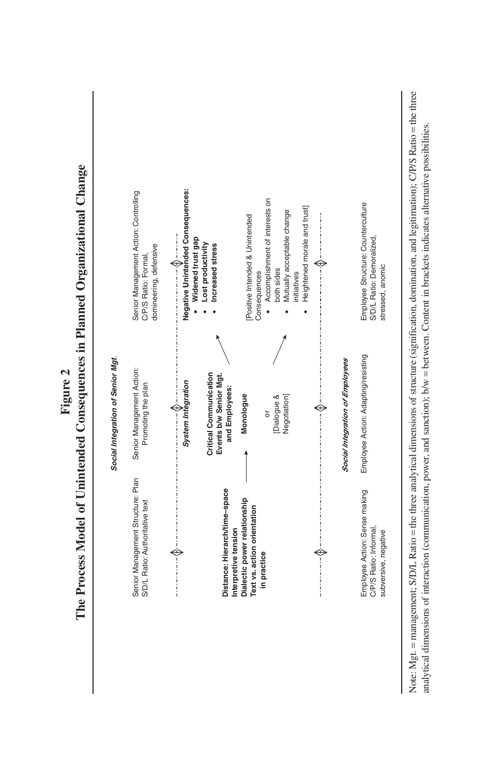|                                                                                                    | Social Integration of Senior Mgt.                                                        |                                                                                                                                                |
|----------------------------------------------------------------------------------------------------|------------------------------------------------------------------------------------------|------------------------------------------------------------------------------------------------------------------------------------------------|
| Senior Management Structure: Plan<br>S/D/L Ratio: Authoritative text                               | Senior Management Action:<br>Promoting the plan                                          | Senior Management Action: Controlling<br>domineering, defensive<br>C/P/S Ratio: Formal,                                                        |
| Distance: Hierarch/time-space<br>$\frac{1}{1}$                                                     | Critical Communication<br>Events b/w Senior Mgt.<br>System Integration<br>and Employees: | Negative Unintended Consequences:<br>Widened trust gap<br>Lost productivity<br>Increased stress                                                |
| Dialectic power relationship<br>Text vs. action orientation<br>Interpretive tension<br>in practice | Monologue<br>Negotiation]<br>[Dialogue &<br>ŏ                                            | • Accomplishment of interests on<br>Mutually acceptable change<br>[Positive Intended & Unintended<br>both sides<br>Consequences<br>initiatives |
| $\frac{1}{1}$                                                                                      |                                                                                          | Heightened morale and trust]                                                                                                                   |
|                                                                                                    | Social Integration of Employees                                                          |                                                                                                                                                |
| Employee Action: Sense making<br>C/P/S Ratio: Informal,<br>subversive, negative                    | Employee Action: Adapting/resisting                                                      | Employee Structure: Counterculture<br>S/D/L Ratio: Demoralized,<br>stressed, anomic                                                            |
|                                                                                                    |                                                                                          | しょう                                                                                                                                            |

The Process Model of Unintended Consequences in Planned Organizational Change **The Process Model of Unintended Consequences in Planned Organizational Change Figure 2**

Note: Mgt. = management, S/D/L Ratio = the three analytical dimensions of structure (signification, domination, and legitimation); C/P/S Ratio = the three Note: Mgt. = management; S/D/L Ratio = the three analytical dimensions of structure (signification, domination, and legitimation); C/P/S Ratio = the three analytical dimensions of interaction (communication, power, and sanction); b/w = between. Content in brackets indicates alternative possibilities. analytical dimensions of interaction (communication, power, and sanction); b/w = between. Content in brackets indicates alternative possibilities.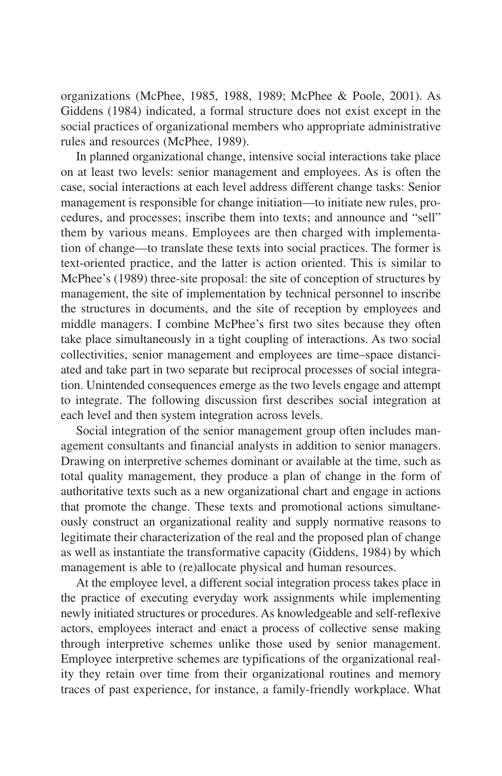organizations (McPhee, 1985, 1988, 1989; McPhee & Poole, 2001). As Giddens (1984) indicated, a formal structure does not exist except in the social practices of organizational members who appropriate administrative rules and resources (McPhee, 1989).

In planned organizational change, intensive social interactions take place on at least two levels: senior management and employees. As is often the case, social interactions at each level address different change tasks: Senior management is responsible for change initiation—to initiate new rules, procedures, and processes; inscribe them into texts; and announce and "sell" them by various means. Employees are then charged with implementation of change—to translate these texts into social practices. The former is text-oriented practice, and the latter is action oriented. This is similar to McPhee's (1989) three-site proposal: the site of conception of structures by management, the site of implementation by technical personnel to inscribe the structures in documents, and the site of reception by employees and middle managers. I combine McPhee's first two sites because they often take place simultaneously in a tight coupling of interactions. As two social collectivities, senior management and employees are time–space distanciated and take part in two separate but reciprocal processes of social integration. Unintended consequences emerge as the two levels engage and attempt to integrate. The following discussion first describes social integration at each level and then system integration across levels.

Social integration of the senior management group often includes management consultants and financial analysts in addition to senior managers. Drawing on interpretive schemes dominant or available at the time, such as total quality management, they produce a plan of change in the form of authoritative texts such as a new organizational chart and engage in actions that promote the change. These texts and promotional actions simultaneously construct an organizational reality and supply normative reasons to legitimate their characterization of the real and the proposed plan of change as well as instantiate the transformative capacity (Giddens, 1984) by which management is able to (re)allocate physical and human resources.

At the employee level, a different social integration process takes place in the practice of executing everyday work assignments while implementing newly initiated structures or procedures. As knowledgeable and self-reflexive actors, employees interact and enact a process of collective sense making through interpretive schemes unlike those used by senior management. Employee interpretive schemes are typifications of the organizational reality they retain over time from their organizational routines and memory traces of past experience, for instance, a family-friendly workplace. What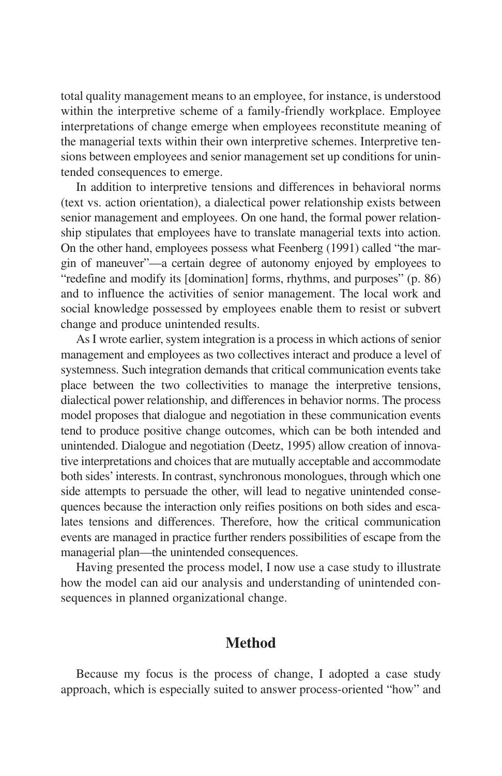total quality management means to an employee, for instance, is understood within the interpretive scheme of a family-friendly workplace. Employee interpretations of change emerge when employees reconstitute meaning of the managerial texts within their own interpretive schemes. Interpretive tensions between employees and senior management set up conditions for unintended consequences to emerge.

In addition to interpretive tensions and differences in behavioral norms (text vs. action orientation), a dialectical power relationship exists between senior management and employees. On one hand, the formal power relationship stipulates that employees have to translate managerial texts into action. On the other hand, employees possess what Feenberg (1991) called "the margin of maneuver"—a certain degree of autonomy enjoyed by employees to "redefine and modify its [domination] forms, rhythms, and purposes" (p. 86) and to influence the activities of senior management. The local work and social knowledge possessed by employees enable them to resist or subvert change and produce unintended results.

As I wrote earlier, system integration is a process in which actions of senior management and employees as two collectives interact and produce a level of systemness. Such integration demands that critical communication events take place between the two collectivities to manage the interpretive tensions, dialectical power relationship, and differences in behavior norms. The process model proposes that dialogue and negotiation in these communication events tend to produce positive change outcomes, which can be both intended and unintended. Dialogue and negotiation (Deetz, 1995) allow creation of innovative interpretations and choices that are mutually acceptable and accommodate both sides' interests. In contrast, synchronous monologues, through which one side attempts to persuade the other, will lead to negative unintended consequences because the interaction only reifies positions on both sides and escalates tensions and differences. Therefore, how the critical communication events are managed in practice further renders possibilities of escape from the managerial plan—the unintended consequences.

Having presented the process model, I now use a case study to illustrate how the model can aid our analysis and understanding of unintended consequences in planned organizational change.

## **Method**

Because my focus is the process of change, I adopted a case study approach, which is especially suited to answer process-oriented "how" and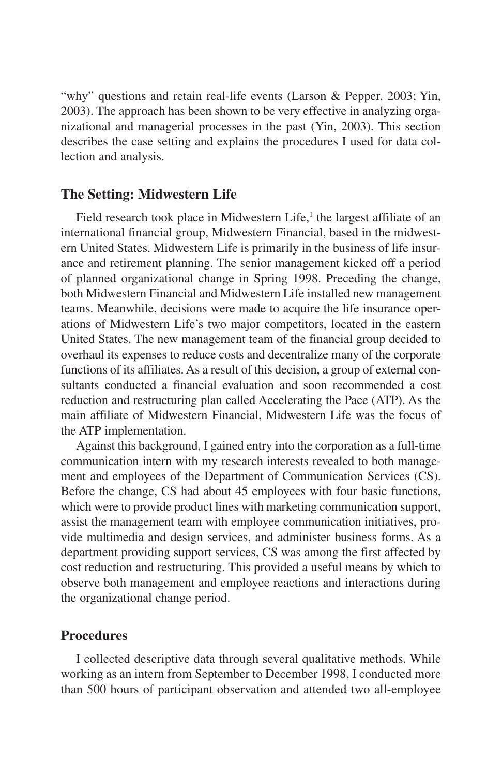"why" questions and retain real-life events (Larson & Pepper, 2003; Yin, 2003). The approach has been shown to be very effective in analyzing organizational and managerial processes in the past (Yin, 2003). This section describes the case setting and explains the procedures I used for data collection and analysis.

#### **The Setting: Midwestern Life**

Field research took place in Midwestern Life, $\frac{1}{1}$  the largest affiliate of an international financial group, Midwestern Financial, based in the midwestern United States. Midwestern Life is primarily in the business of life insurance and retirement planning. The senior management kicked off a period of planned organizational change in Spring 1998. Preceding the change, both Midwestern Financial and Midwestern Life installed new management teams. Meanwhile, decisions were made to acquire the life insurance operations of Midwestern Life's two major competitors, located in the eastern United States. The new management team of the financial group decided to overhaul its expenses to reduce costs and decentralize many of the corporate functions of its affiliates. As a result of this decision, a group of external consultants conducted a financial evaluation and soon recommended a cost reduction and restructuring plan called Accelerating the Pace (ATP). As the main affiliate of Midwestern Financial, Midwestern Life was the focus of the ATP implementation.

Against this background, I gained entry into the corporation as a full-time communication intern with my research interests revealed to both management and employees of the Department of Communication Services (CS). Before the change, CS had about 45 employees with four basic functions, which were to provide product lines with marketing communication support, assist the management team with employee communication initiatives, provide multimedia and design services, and administer business forms. As a department providing support services, CS was among the first affected by cost reduction and restructuring. This provided a useful means by which to observe both management and employee reactions and interactions during the organizational change period.

#### **Procedures**

I collected descriptive data through several qualitative methods. While working as an intern from September to December 1998, I conducted more than 500 hours of participant observation and attended two all-employee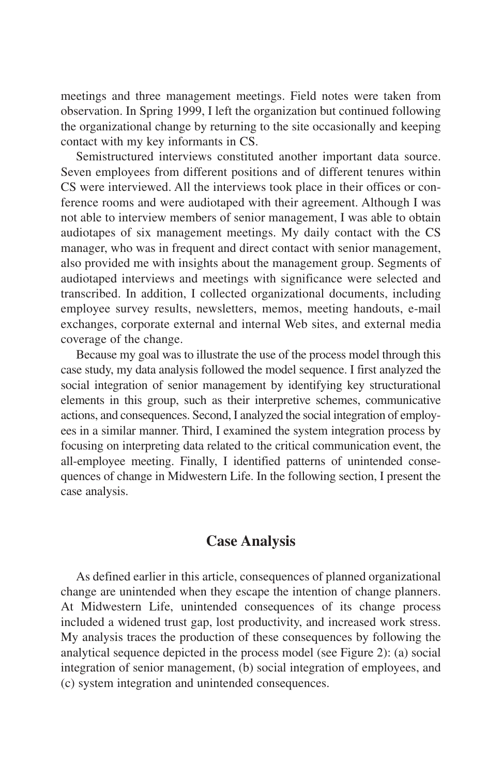meetings and three management meetings. Field notes were taken from observation. In Spring 1999, I left the organization but continued following the organizational change by returning to the site occasionally and keeping contact with my key informants in CS.

Semistructured interviews constituted another important data source. Seven employees from different positions and of different tenures within CS were interviewed. All the interviews took place in their offices or conference rooms and were audiotaped with their agreement. Although I was not able to interview members of senior management, I was able to obtain audiotapes of six management meetings. My daily contact with the CS manager, who was in frequent and direct contact with senior management, also provided me with insights about the management group. Segments of audiotaped interviews and meetings with significance were selected and transcribed. In addition, I collected organizational documents, including employee survey results, newsletters, memos, meeting handouts, e-mail exchanges, corporate external and internal Web sites, and external media coverage of the change.

Because my goal was to illustrate the use of the process model through this case study, my data analysis followed the model sequence. I first analyzed the social integration of senior management by identifying key structurational elements in this group, such as their interpretive schemes, communicative actions, and consequences. Second, I analyzed the social integration of employees in a similar manner. Third, I examined the system integration process by focusing on interpreting data related to the critical communication event, the all-employee meeting. Finally, I identified patterns of unintended consequences of change in Midwestern Life. In the following section, I present the case analysis.

#### **Case Analysis**

As defined earlier in this article, consequences of planned organizational change are unintended when they escape the intention of change planners. At Midwestern Life, unintended consequences of its change process included a widened trust gap, lost productivity, and increased work stress. My analysis traces the production of these consequences by following the analytical sequence depicted in the process model (see Figure 2): (a) social integration of senior management, (b) social integration of employees, and (c) system integration and unintended consequences.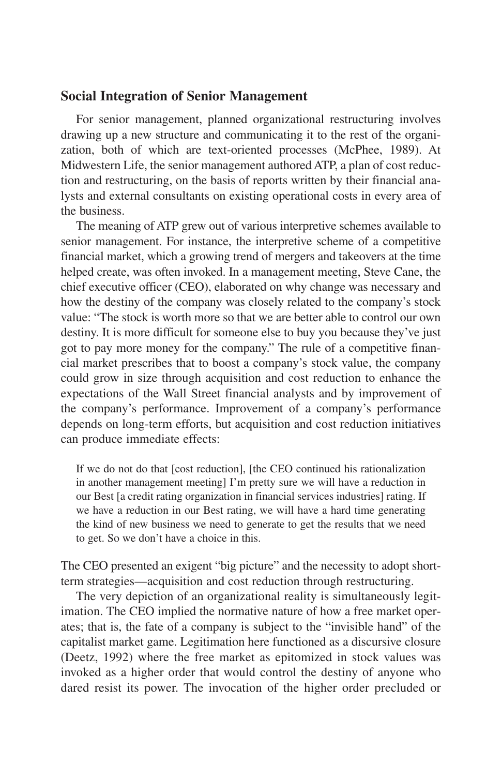#### **Social Integration of Senior Management**

For senior management, planned organizational restructuring involves drawing up a new structure and communicating it to the rest of the organization, both of which are text-oriented processes (McPhee, 1989). At Midwestern Life, the senior management authored ATP, a plan of cost reduction and restructuring, on the basis of reports written by their financial analysts and external consultants on existing operational costs in every area of the business.

The meaning of ATP grew out of various interpretive schemes available to senior management. For instance, the interpretive scheme of a competitive financial market, which a growing trend of mergers and takeovers at the time helped create, was often invoked. In a management meeting, Steve Cane, the chief executive officer (CEO), elaborated on why change was necessary and how the destiny of the company was closely related to the company's stock value: "The stock is worth more so that we are better able to control our own destiny. It is more difficult for someone else to buy you because they've just got to pay more money for the company." The rule of a competitive financial market prescribes that to boost a company's stock value, the company could grow in size through acquisition and cost reduction to enhance the expectations of the Wall Street financial analysts and by improvement of the company's performance. Improvement of a company's performance depends on long-term efforts, but acquisition and cost reduction initiatives can produce immediate effects:

If we do not do that [cost reduction], [the CEO continued his rationalization in another management meeting] I'm pretty sure we will have a reduction in our Best [a credit rating organization in financial services industries] rating. If we have a reduction in our Best rating, we will have a hard time generating the kind of new business we need to generate to get the results that we need to get. So we don't have a choice in this.

The CEO presented an exigent "big picture" and the necessity to adopt shortterm strategies—acquisition and cost reduction through restructuring.

The very depiction of an organizational reality is simultaneously legitimation. The CEO implied the normative nature of how a free market operates; that is, the fate of a company is subject to the "invisible hand" of the capitalist market game. Legitimation here functioned as a discursive closure (Deetz, 1992) where the free market as epitomized in stock values was invoked as a higher order that would control the destiny of anyone who dared resist its power. The invocation of the higher order precluded or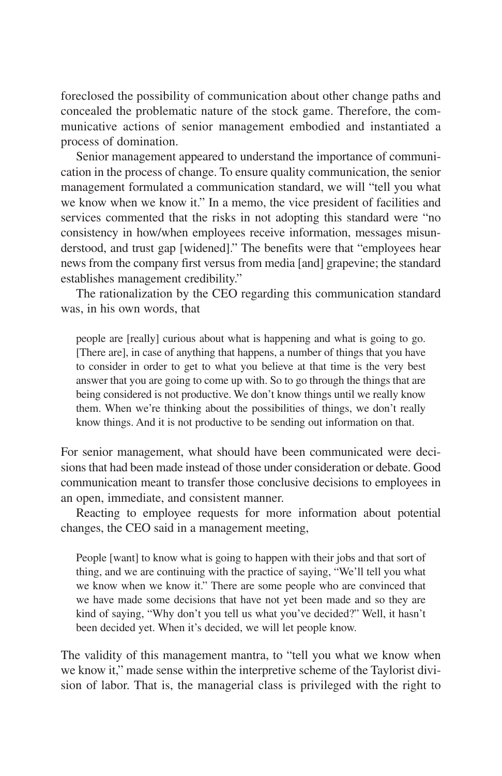foreclosed the possibility of communication about other change paths and concealed the problematic nature of the stock game. Therefore, the communicative actions of senior management embodied and instantiated a process of domination.

Senior management appeared to understand the importance of communication in the process of change. To ensure quality communication, the senior management formulated a communication standard, we will "tell you what we know when we know it." In a memo, the vice president of facilities and services commented that the risks in not adopting this standard were "no consistency in how/when employees receive information, messages misunderstood, and trust gap [widened]." The benefits were that "employees hear news from the company first versus from media [and] grapevine; the standard establishes management credibility."

The rationalization by the CEO regarding this communication standard was, in his own words, that

people are [really] curious about what is happening and what is going to go. [There are], in case of anything that happens, a number of things that you have to consider in order to get to what you believe at that time is the very best answer that you are going to come up with. So to go through the things that are being considered is not productive. We don't know things until we really know them. When we're thinking about the possibilities of things, we don't really know things. And it is not productive to be sending out information on that.

For senior management, what should have been communicated were decisions that had been made instead of those under consideration or debate. Good communication meant to transfer those conclusive decisions to employees in an open, immediate, and consistent manner.

Reacting to employee requests for more information about potential changes, the CEO said in a management meeting,

People [want] to know what is going to happen with their jobs and that sort of thing, and we are continuing with the practice of saying, "We'll tell you what we know when we know it." There are some people who are convinced that we have made some decisions that have not yet been made and so they are kind of saying, "Why don't you tell us what you've decided?" Well, it hasn't been decided yet. When it's decided, we will let people know.

The validity of this management mantra, to "tell you what we know when we know it," made sense within the interpretive scheme of the Taylorist division of labor. That is, the managerial class is privileged with the right to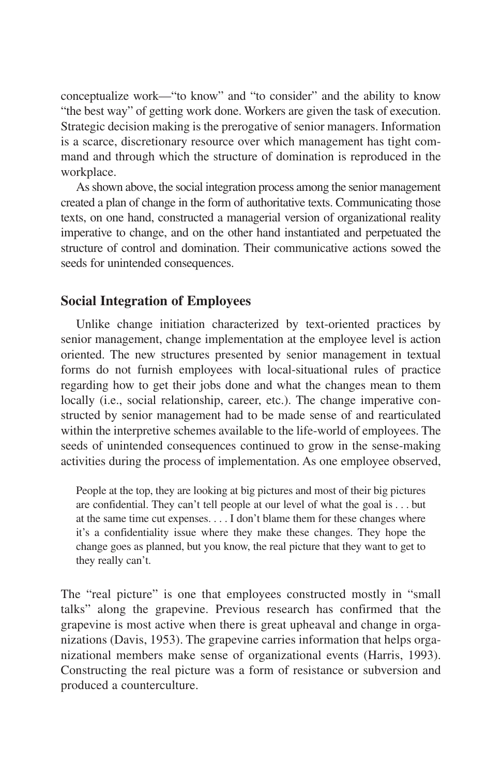conceptualize work—"to know" and "to consider" and the ability to know "the best way" of getting work done. Workers are given the task of execution. Strategic decision making is the prerogative of senior managers. Information is a scarce, discretionary resource over which management has tight command and through which the structure of domination is reproduced in the workplace.

As shown above, the social integration process among the senior management created a plan of change in the form of authoritative texts. Communicating those texts, on one hand, constructed a managerial version of organizational reality imperative to change, and on the other hand instantiated and perpetuated the structure of control and domination. Their communicative actions sowed the seeds for unintended consequences.

#### **Social Integration of Employees**

Unlike change initiation characterized by text-oriented practices by senior management, change implementation at the employee level is action oriented. The new structures presented by senior management in textual forms do not furnish employees with local-situational rules of practice regarding how to get their jobs done and what the changes mean to them locally (i.e., social relationship, career, etc.). The change imperative constructed by senior management had to be made sense of and rearticulated within the interpretive schemes available to the life-world of employees. The seeds of unintended consequences continued to grow in the sense-making activities during the process of implementation. As one employee observed,

People at the top, they are looking at big pictures and most of their big pictures are confidential. They can't tell people at our level of what the goal is . . . but at the same time cut expenses. . . . I don't blame them for these changes where it's a confidentiality issue where they make these changes. They hope the change goes as planned, but you know, the real picture that they want to get to they really can't.

The "real picture" is one that employees constructed mostly in "small talks" along the grapevine. Previous research has confirmed that the grapevine is most active when there is great upheaval and change in organizations (Davis, 1953). The grapevine carries information that helps organizational members make sense of organizational events (Harris, 1993). Constructing the real picture was a form of resistance or subversion and produced a counterculture.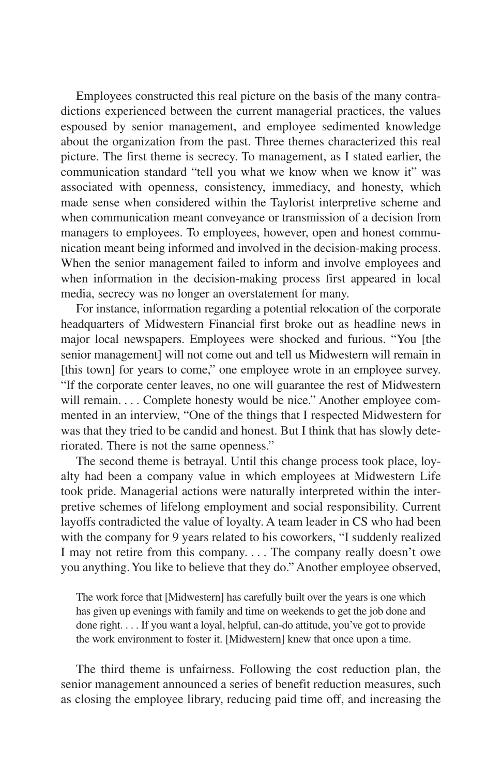Employees constructed this real picture on the basis of the many contradictions experienced between the current managerial practices, the values espoused by senior management, and employee sedimented knowledge about the organization from the past. Three themes characterized this real picture. The first theme is secrecy. To management, as I stated earlier, the communication standard "tell you what we know when we know it" was associated with openness, consistency, immediacy, and honesty, which made sense when considered within the Taylorist interpretive scheme and when communication meant conveyance or transmission of a decision from managers to employees. To employees, however, open and honest communication meant being informed and involved in the decision-making process. When the senior management failed to inform and involve employees and when information in the decision-making process first appeared in local media, secrecy was no longer an overstatement for many.

For instance, information regarding a potential relocation of the corporate headquarters of Midwestern Financial first broke out as headline news in major local newspapers. Employees were shocked and furious. "You [the senior management] will not come out and tell us Midwestern will remain in [this town] for years to come," one employee wrote in an employee survey. "If the corporate center leaves, no one will guarantee the rest of Midwestern will remain. . . . Complete honesty would be nice." Another employee commented in an interview, "One of the things that I respected Midwestern for was that they tried to be candid and honest. But I think that has slowly deteriorated. There is not the same openness."

The second theme is betrayal. Until this change process took place, loyalty had been a company value in which employees at Midwestern Life took pride. Managerial actions were naturally interpreted within the interpretive schemes of lifelong employment and social responsibility. Current layoffs contradicted the value of loyalty. A team leader in CS who had been with the company for 9 years related to his coworkers, "I suddenly realized I may not retire from this company. . . . The company really doesn't owe you anything. You like to believe that they do." Another employee observed,

The work force that [Midwestern] has carefully built over the years is one which has given up evenings with family and time on weekends to get the job done and done right. . . . If you want a loyal, helpful, can-do attitude, you've got to provide the work environment to foster it. [Midwestern] knew that once upon a time.

The third theme is unfairness. Following the cost reduction plan, the senior management announced a series of benefit reduction measures, such as closing the employee library, reducing paid time off, and increasing the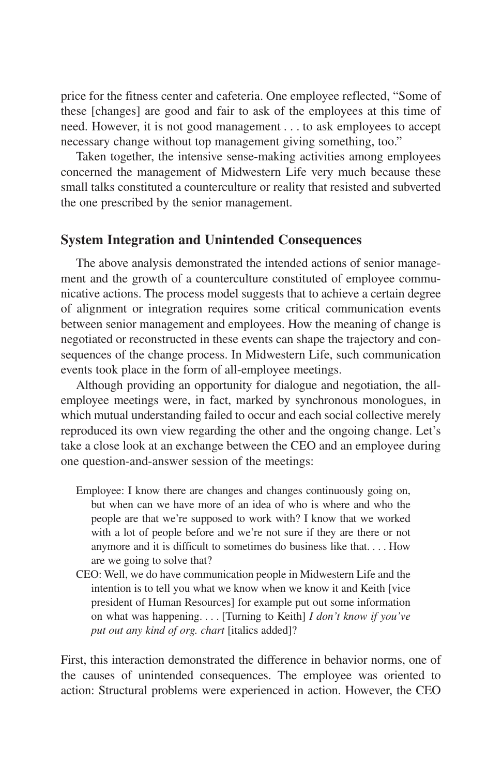price for the fitness center and cafeteria. One employee reflected, "Some of these [changes] are good and fair to ask of the employees at this time of need. However, it is not good management . . . to ask employees to accept necessary change without top management giving something, too."

Taken together, the intensive sense-making activities among employees concerned the management of Midwestern Life very much because these small talks constituted a counterculture or reality that resisted and subverted the one prescribed by the senior management.

#### **System Integration and Unintended Consequences**

The above analysis demonstrated the intended actions of senior management and the growth of a counterculture constituted of employee communicative actions. The process model suggests that to achieve a certain degree of alignment or integration requires some critical communication events between senior management and employees. How the meaning of change is negotiated or reconstructed in these events can shape the trajectory and consequences of the change process. In Midwestern Life, such communication events took place in the form of all-employee meetings.

Although providing an opportunity for dialogue and negotiation, the allemployee meetings were, in fact, marked by synchronous monologues, in which mutual understanding failed to occur and each social collective merely reproduced its own view regarding the other and the ongoing change. Let's take a close look at an exchange between the CEO and an employee during one question-and-answer session of the meetings:

- Employee: I know there are changes and changes continuously going on, but when can we have more of an idea of who is where and who the people are that we're supposed to work with? I know that we worked with a lot of people before and we're not sure if they are there or not anymore and it is difficult to sometimes do business like that. . . . How are we going to solve that?
- CEO: Well, we do have communication people in Midwestern Life and the intention is to tell you what we know when we know it and Keith [vice president of Human Resources] for example put out some information on what was happening. . . . [Turning to Keith] *I don't know if you've put out any kind of org. chart* [italics added]?

First, this interaction demonstrated the difference in behavior norms, one of the causes of unintended consequences. The employee was oriented to action: Structural problems were experienced in action. However, the CEO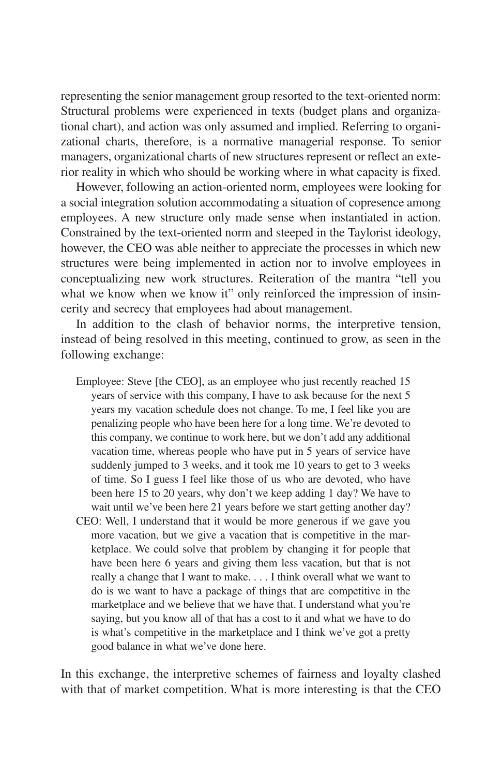representing the senior management group resorted to the text-oriented norm: Structural problems were experienced in texts (budget plans and organizational chart), and action was only assumed and implied. Referring to organizational charts, therefore, is a normative managerial response. To senior managers, organizational charts of new structures represent or reflect an exterior reality in which who should be working where in what capacity is fixed.

However, following an action-oriented norm, employees were looking for a social integration solution accommodating a situation of copresence among employees. A new structure only made sense when instantiated in action. Constrained by the text-oriented norm and steeped in the Taylorist ideology, however, the CEO was able neither to appreciate the processes in which new structures were being implemented in action nor to involve employees in conceptualizing new work structures. Reiteration of the mantra "tell you what we know when we know it" only reinforced the impression of insincerity and secrecy that employees had about management.

In addition to the clash of behavior norms, the interpretive tension, instead of being resolved in this meeting, continued to grow, as seen in the following exchange:

- Employee: Steve [the CEO], as an employee who just recently reached 15 years of service with this company, I have to ask because for the next 5 years my vacation schedule does not change. To me, I feel like you are penalizing people who have been here for a long time. We're devoted to this company, we continue to work here, but we don't add any additional vacation time, whereas people who have put in 5 years of service have suddenly jumped to 3 weeks, and it took me 10 years to get to 3 weeks of time. So I guess I feel like those of us who are devoted, who have been here 15 to 20 years, why don't we keep adding 1 day? We have to wait until we've been here 21 years before we start getting another day?
- CEO: Well, I understand that it would be more generous if we gave you more vacation, but we give a vacation that is competitive in the marketplace. We could solve that problem by changing it for people that have been here 6 years and giving them less vacation, but that is not really a change that I want to make. . . . I think overall what we want to do is we want to have a package of things that are competitive in the marketplace and we believe that we have that. I understand what you're saying, but you know all of that has a cost to it and what we have to do is what's competitive in the marketplace and I think we've got a pretty good balance in what we've done here.

In this exchange, the interpretive schemes of fairness and loyalty clashed with that of market competition. What is more interesting is that the CEO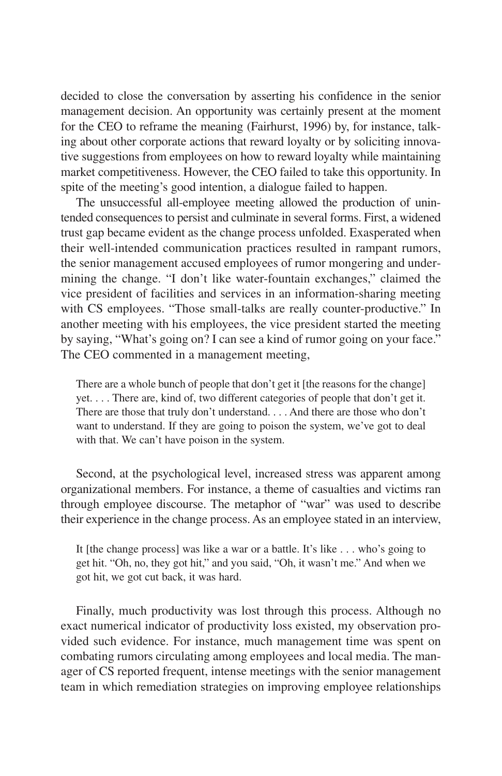decided to close the conversation by asserting his confidence in the senior management decision. An opportunity was certainly present at the moment for the CEO to reframe the meaning (Fairhurst, 1996) by, for instance, talking about other corporate actions that reward loyalty or by soliciting innovative suggestions from employees on how to reward loyalty while maintaining market competitiveness. However, the CEO failed to take this opportunity. In spite of the meeting's good intention, a dialogue failed to happen.

The unsuccessful all-employee meeting allowed the production of unintended consequences to persist and culminate in several forms. First, a widened trust gap became evident as the change process unfolded. Exasperated when their well-intended communication practices resulted in rampant rumors, the senior management accused employees of rumor mongering and undermining the change. "I don't like water-fountain exchanges," claimed the vice president of facilities and services in an information-sharing meeting with CS employees. "Those small-talks are really counter-productive." In another meeting with his employees, the vice president started the meeting by saying, "What's going on? I can see a kind of rumor going on your face." The CEO commented in a management meeting,

There are a whole bunch of people that don't get it [the reasons for the change] yet. . . . There are, kind of, two different categories of people that don't get it. There are those that truly don't understand. . . . And there are those who don't want to understand. If they are going to poison the system, we've got to deal with that. We can't have poison in the system.

Second, at the psychological level, increased stress was apparent among organizational members. For instance, a theme of casualties and victims ran through employee discourse. The metaphor of "war" was used to describe their experience in the change process. As an employee stated in an interview,

It [the change process] was like a war or a battle. It's like . . . who's going to get hit. "Oh, no, they got hit," and you said, "Oh, it wasn't me." And when we got hit, we got cut back, it was hard.

Finally, much productivity was lost through this process. Although no exact numerical indicator of productivity loss existed, my observation provided such evidence. For instance, much management time was spent on combating rumors circulating among employees and local media. The manager of CS reported frequent, intense meetings with the senior management team in which remediation strategies on improving employee relationships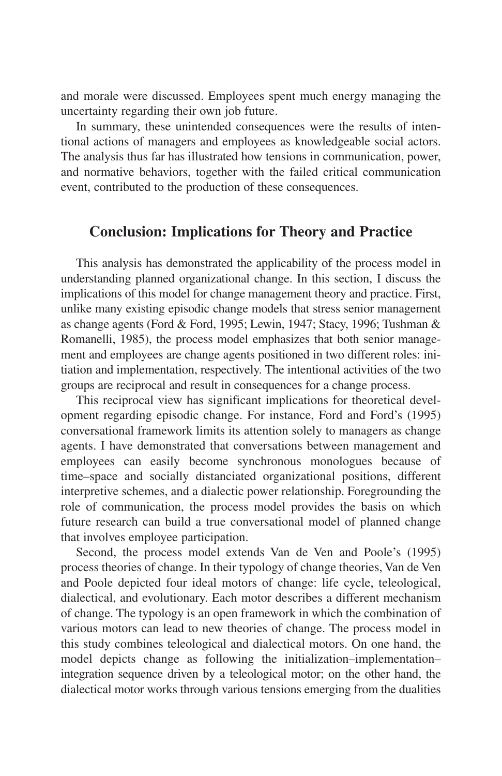and morale were discussed. Employees spent much energy managing the uncertainty regarding their own job future.

In summary, these unintended consequences were the results of intentional actions of managers and employees as knowledgeable social actors. The analysis thus far has illustrated how tensions in communication, power, and normative behaviors, together with the failed critical communication event, contributed to the production of these consequences.

## **Conclusion: Implications for Theory and Practice**

This analysis has demonstrated the applicability of the process model in understanding planned organizational change. In this section, I discuss the implications of this model for change management theory and practice. First, unlike many existing episodic change models that stress senior management as change agents (Ford & Ford, 1995; Lewin, 1947; Stacy, 1996; Tushman & Romanelli, 1985), the process model emphasizes that both senior management and employees are change agents positioned in two different roles: initiation and implementation, respectively. The intentional activities of the two groups are reciprocal and result in consequences for a change process.

This reciprocal view has significant implications for theoretical development regarding episodic change. For instance, Ford and Ford's (1995) conversational framework limits its attention solely to managers as change agents. I have demonstrated that conversations between management and employees can easily become synchronous monologues because of time–space and socially distanciated organizational positions, different interpretive schemes, and a dialectic power relationship. Foregrounding the role of communication, the process model provides the basis on which future research can build a true conversational model of planned change that involves employee participation.

Second, the process model extends Van de Ven and Poole's (1995) process theories of change. In their typology of change theories, Van de Ven and Poole depicted four ideal motors of change: life cycle, teleological, dialectical, and evolutionary. Each motor describes a different mechanism of change. The typology is an open framework in which the combination of various motors can lead to new theories of change. The process model in this study combines teleological and dialectical motors. On one hand, the model depicts change as following the initialization–implementation– integration sequence driven by a teleological motor; on the other hand, the dialectical motor works through various tensions emerging from the dualities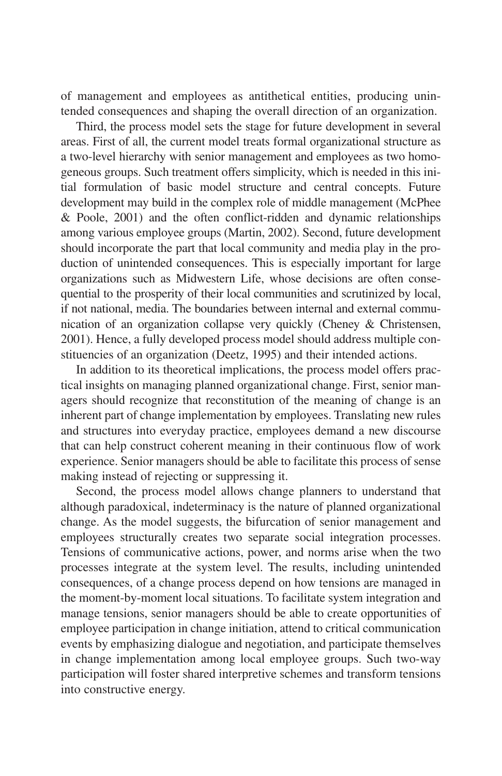of management and employees as antithetical entities, producing unintended consequences and shaping the overall direction of an organization.

Third, the process model sets the stage for future development in several areas. First of all, the current model treats formal organizational structure as a two-level hierarchy with senior management and employees as two homogeneous groups. Such treatment offers simplicity, which is needed in this initial formulation of basic model structure and central concepts. Future development may build in the complex role of middle management (McPhee & Poole, 2001) and the often conflict-ridden and dynamic relationships among various employee groups (Martin, 2002). Second, future development should incorporate the part that local community and media play in the production of unintended consequences. This is especially important for large organizations such as Midwestern Life, whose decisions are often consequential to the prosperity of their local communities and scrutinized by local, if not national, media. The boundaries between internal and external communication of an organization collapse very quickly (Cheney & Christensen, 2001). Hence, a fully developed process model should address multiple constituencies of an organization (Deetz, 1995) and their intended actions.

In addition to its theoretical implications, the process model offers practical insights on managing planned organizational change. First, senior managers should recognize that reconstitution of the meaning of change is an inherent part of change implementation by employees. Translating new rules and structures into everyday practice, employees demand a new discourse that can help construct coherent meaning in their continuous flow of work experience. Senior managers should be able to facilitate this process of sense making instead of rejecting or suppressing it.

Second, the process model allows change planners to understand that although paradoxical, indeterminacy is the nature of planned organizational change. As the model suggests, the bifurcation of senior management and employees structurally creates two separate social integration processes. Tensions of communicative actions, power, and norms arise when the two processes integrate at the system level. The results, including unintended consequences, of a change process depend on how tensions are managed in the moment-by-moment local situations. To facilitate system integration and manage tensions, senior managers should be able to create opportunities of employee participation in change initiation, attend to critical communication events by emphasizing dialogue and negotiation, and participate themselves in change implementation among local employee groups. Such two-way participation will foster shared interpretive schemes and transform tensions into constructive energy.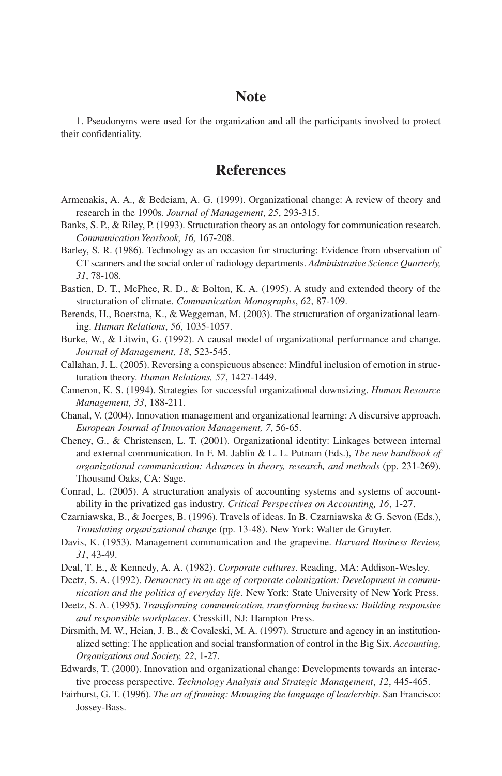### **Note**

1. Pseudonyms were used for the organization and all the participants involved to protect their confidentiality.

### **References**

- Armenakis, A. A., & Bedeiam, A. G. (1999). Organizational change: A review of theory and research in the 1990s. *Journal of Management*, *25*, 293-315.
- Banks, S. P., & Riley, P. (1993). Structuration theory as an ontology for communication research. *Communication Yearbook, 16,* 167-208.
- Barley, S. R. (1986). Technology as an occasion for structuring: Evidence from observation of CT scanners and the social order of radiology departments. *Administrative Science Quarterly, 31*, 78-108.
- Bastien, D. T., McPhee, R. D., & Bolton, K. A. (1995). A study and extended theory of the structuration of climate. *Communication Monographs*, *62*, 87-109.
- Berends, H., Boerstna, K., & Weggeman, M. (2003). The structuration of organizational learning. *Human Relations*, *56*, 1035-1057.
- Burke, W., & Litwin, G. (1992). A causal model of organizational performance and change. *Journal of Management, 18*, 523-545.
- Callahan, J. L. (2005). Reversing a conspicuous absence: Mindful inclusion of emotion in structuration theory. *Human Relations, 57*, 1427-1449.
- Cameron, K. S. (1994). Strategies for successful organizational downsizing. *Human Resource Management, 33*, 188-211.
- Chanal, V. (2004). Innovation management and organizational learning: A discursive approach. *European Journal of Innovation Management, 7*, 56-65.
- Cheney, G., & Christensen, L. T. (2001). Organizational identity: Linkages between internal and external communication. In F. M. Jablin & L. L. Putnam (Eds.), *The new handbook of organizational communication: Advances in theory, research, and methods* (pp. 231-269). Thousand Oaks, CA: Sage.
- Conrad, L. (2005). A structuration analysis of accounting systems and systems of accountability in the privatized gas industry. *Critical Perspectives on Accounting, 16*, 1-27.
- Czarniawska, B., & Joerges, B. (1996). Travels of ideas. In B. Czarniawska & G. Sevon (Eds.), *Translating organizational change* (pp. 13-48). New York: Walter de Gruyter.
- Davis, K. (1953). Management communication and the grapevine. *Harvard Business Review, 31*, 43-49.
- Deal, T. E., & Kennedy, A. A. (1982). *Corporate cultures*. Reading, MA: Addison-Wesley.
- Deetz, S. A. (1992). *Democracy in an age of corporate colonization: Development in communication and the politics of everyday life*. New York: State University of New York Press.
- Deetz, S. A. (1995). *Transforming communication, transforming business: Building responsive and responsible workplaces*. Cresskill, NJ: Hampton Press.
- Dirsmith, M. W., Heian, J. B., & Covaleski, M. A. (1997). Structure and agency in an institutionalized setting: The application and social transformation of control in the Big Six. *Accounting, Organizations and Society, 22*, 1-27.
- Edwards, T. (2000). Innovation and organizational change: Developments towards an interactive process perspective. *Technology Analysis and Strategic Management*, *12*, 445-465.
- Fairhurst, G. T. (1996). *The art of framing: Managing the language of leadership*. San Francisco: Jossey-Bass.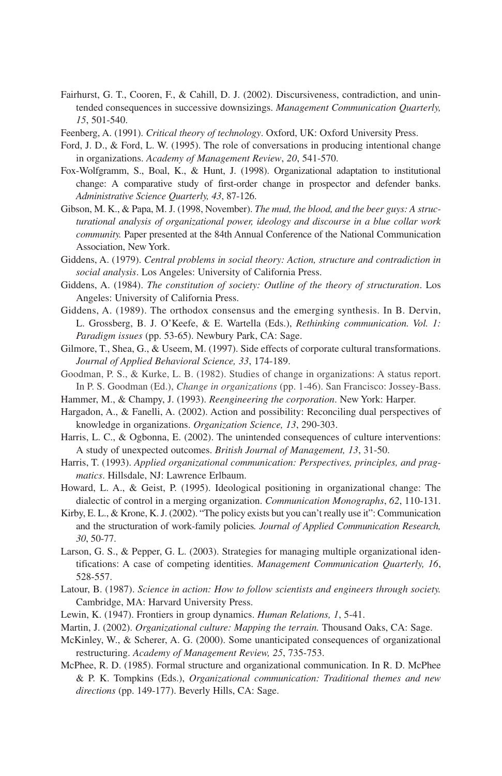Fairhurst, G. T., Cooren, F., & Cahill, D. J. (2002). Discursiveness, contradiction, and unintended consequences in successive downsizings. *Management Communication Quarterly, 15*, 501-540.

Feenberg, A. (1991). *Critical theory of technology*. Oxford, UK: Oxford University Press.

- Ford, J. D., & Ford, L. W. (1995). The role of conversations in producing intentional change in organizations. *Academy of Management Review*, *20*, 541-570.
- Fox-Wolfgramm, S., Boal, K., & Hunt, J. (1998). Organizational adaptation to institutional change: A comparative study of first-order change in prospector and defender banks. *Administrative Science Quarterly, 43*, 87-126.
- Gibson, M. K., & Papa, M. J. (1998, November). *The mud, the blood, and the beer guys: A structurational analysis of organizational power, ideology and discourse in a blue collar work community.* Paper presented at the 84th Annual Conference of the National Communication Association, New York.
- Giddens, A. (1979). *Central problems in social theory: Action, structure and contradiction in social analysis*. Los Angeles: University of California Press.
- Giddens, A. (1984). *The constitution of society: Outline of the theory of structuration*. Los Angeles: University of California Press.
- Giddens, A. (1989). The orthodox consensus and the emerging synthesis. In B. Dervin, L. Grossberg, B. J. O'Keefe, & E. Wartella (Eds.), *Rethinking communication. Vol. 1: Paradigm issues* (pp. 53-65). Newbury Park, CA: Sage.
- Gilmore, T., Shea, G., & Useem, M. (1997). Side effects of corporate cultural transformations. *Journal of Applied Behavioral Science, 33*, 174-189.
- Goodman, P. S., & Kurke, L. B. (1982). Studies of change in organizations: A status report. In P. S. Goodman (Ed.), *Change in organizations* (pp. 1-46). San Francisco: Jossey-Bass.
- Hammer, M., & Champy, J. (1993). *Reengineering the corporation*. New York: Harper.
- Hargadon, A., & Fanelli, A. (2002). Action and possibility: Reconciling dual perspectives of knowledge in organizations. *Organization Science, 13*, 290-303.
- Harris, L. C., & Ogbonna, E. (2002). The unintended consequences of culture interventions: A study of unexpected outcomes. *British Journal of Management, 13*, 31-50.
- Harris, T. (1993). *Applied organizational communication: Perspectives, principles, and pragmatics*. Hillsdale, NJ: Lawrence Erlbaum.
- Howard, L. A., & Geist, P. (1995). Ideological positioning in organizational change: The dialectic of control in a merging organization. *Communication Monographs*, *62*, 110-131.
- Kirby, E. L., & Krone, K. J. (2002). "The policy exists but you can't really use it": Communication and the structuration of work-family policies*. Journal of Applied Communication Research, 30*, 50-77.
- Larson, G. S., & Pepper, G. L. (2003). Strategies for managing multiple organizational identifications: A case of competing identities. *Management Communication Quarterly, 16*, 528-557.
- Latour, B. (1987). *Science in action: How to follow scientists and engineers through society.* Cambridge, MA: Harvard University Press.
- Lewin, K. (1947). Frontiers in group dynamics. *Human Relations, 1*, 5-41.
- Martin, J. (2002). *Organizational culture: Mapping the terrain.* Thousand Oaks, CA: Sage.
- McKinley, W., & Scherer, A. G. (2000). Some unanticipated consequences of organizational restructuring. *Academy of Management Review, 25*, 735-753.
- McPhee, R. D. (1985). Formal structure and organizational communication. In R. D. McPhee & P. K. Tompkins (Eds.), *Organizational communication: Traditional themes and new directions* (pp. 149-177). Beverly Hills, CA: Sage.